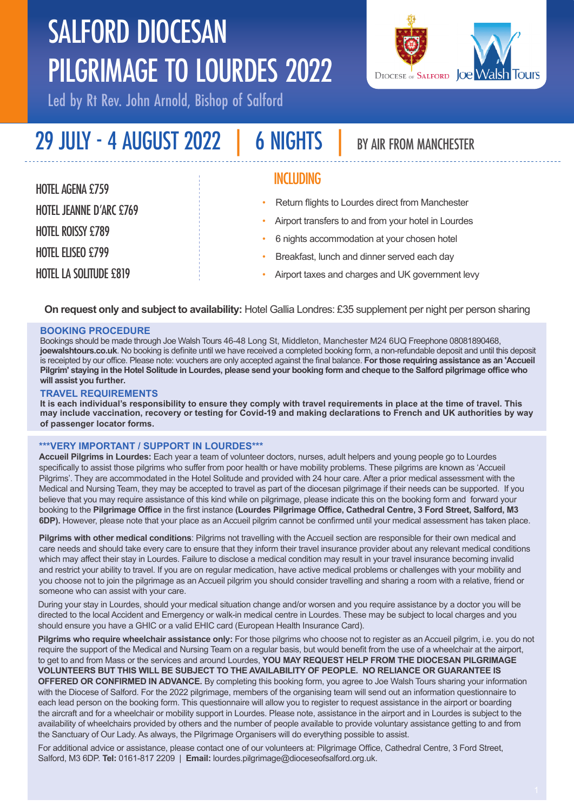# SALFORD DIOCESAN PILGRIMAGE TO LOURDES 2022

Led by Rt Rev. John Arnold, Bishop of Salford



| 29 JULY - 4 AUGUST 2022        | <b>6 NIGHTS</b>  | BY AIR FROM MANCHESTER                                                                          |
|--------------------------------|------------------|-------------------------------------------------------------------------------------------------|
| <b>HOTEL AGENA £759</b>        | <b>INCLUDING</b> |                                                                                                 |
| <b>HOTEL JEANNE D'ARC £769</b> | ۰                | Return flights to Lourdes direct from Manchester                                                |
| <b>HOTEL ROISSY £789</b>       |                  | Airport transfers to and from your hotel in Lourdes                                             |
| <b>HOTEL ELISEO £799</b>       |                  | 6 nights accommodation at your chosen hotel                                                     |
| <b>HOTEL LA SOLITUDE £819</b>  |                  | Breakfast, lunch and dinner served each day<br>Airport taxes and charges and UK government levy |

**On request only and subject to availability:** Hotel Gallia Londres: £35 supplement per night per person sharing

#### **BOOKING PROCEDURE**

Bookings should be made through Joe Walsh Tours 46-48 Long St, Middleton, Manchester M24 6UQ Freephone 08081890468, **joewalshtours.co.uk**. No booking is definite until we have received a completed booking form, a non-refundable deposit and until this deposit is receipted by our office. Please note: vouchers are only accepted against the final balance. **For those requiring assistance as an 'Accueil Pilgrim' staying in the Hotel Solitude in Lourdes, please send your booking form and cheque to the Salford pilgrimage office who will assist you further.**

#### **TRAVEL REQUIREMENTS**

**It is each individual's responsibility to ensure they comply with travel requirements in place at the time of travel. This may include vaccination, recovery or testing for Covid-19 and making declarations to French and UK authorities by way of passenger locator forms.**

#### **\*\*\*VERY IMPORTANT / SUPPORT IN LOURDES\*\*\***

**Accueil Pilgrims in Lourdes:** Each year a team of volunteer doctors, nurses, adult helpers and young people go to Lourdes specifically to assist those pilgrims who suffer from poor health or have mobility problems. These pilgrims are known as 'Accueil Pilgrims'. They are accommodated in the Hotel Solitude and provided with 24 hour care. After a prior medical assessment with the Medical and Nursing Team, they may be accepted to travel as part of the diocesan pilgrimage if their needs can be supported. If you believe that you may require assistance of this kind while on pilgrimage, please indicate this on the booking form and forward your booking to the **Pilgrimage Office** in the first instance **(Lourdes Pilgrimage Office, Cathedral Centre, 3 Ford Street, Salford, M3 6DP).** However, please note that your place as an Accueil pilgrim cannot be confirmed until your medical assessment has taken place.

**Pilgrims with other medical conditions**: Pilgrims not travelling with the Accueil section are responsible for their own medical and care needs and should take every care to ensure that they inform their travel insurance provider about any relevant medical conditions which may affect their stay in Lourdes. Failure to disclose a medical condition may result in your travel insurance becoming invalid and restrict your ability to travel. If you are on regular medication, have active medical problems or challenges with your mobility and you choose not to join the pilgrimage as an Accueil pilgrim you should consider travelling and sharing a room with a relative, friend or someone who can assist with your care.

During your stay in Lourdes, should your medical situation change and/or worsen and you require assistance by a doctor you will be directed to the local Accident and Emergency or walk-in medical centre in Lourdes. These may be subject to local charges and you should ensure you have a GHIC or a valid EHIC card (European Health Insurance Card).

**Pilgrims who require wheelchair assistance only:** For those pilgrims who choose not to register as an Accueil pilgrim, i.e. you do not require the support of the Medical and Nursing Team on a regular basis, but would benefit from the use of a wheelchair at the airport, to get to and from Mass or the services and around Lourdes, **YOU MAY REQUEST HELP FROM THE DIOCESAN PILGRIMAGE VOLUNTEERS BUT THIS WILL BE SUBJECT TO THE AVAILABILITY OF PEOPLE. NO RELIANCE OR GUARANTEE IS OFFERED OR CONFIRMED IN ADVANCE.** By completing this booking form, you agree to Joe Walsh Tours sharing your information with the Diocese of Salford. For the 2022 pilgrimage, members of the organising team will send out an information questionnaire to each lead person on the booking form. This questionnaire will allow you to register to request assistance in the airport or boarding the aircraft and for a wheelchair or mobility support in Lourdes. Please note, assistance in the airport and in Lourdes is subject to the availability of wheelchairs provided by others and the number of people available to provide voluntary assistance getting to and from the Sanctuary of Our Lady. As always, the Pilgrimage Organisers will do everything possible to assist.

For additional advice or assistance, please contact one of our volunteers at: Pilgrimage Office, Cathedral Centre, 3 Ford Street, Salford, M3 6DP. **Tel:** 0161-817 2209 | **Email:** lourdes.pilgrimage@dioceseofsalford.org.uk.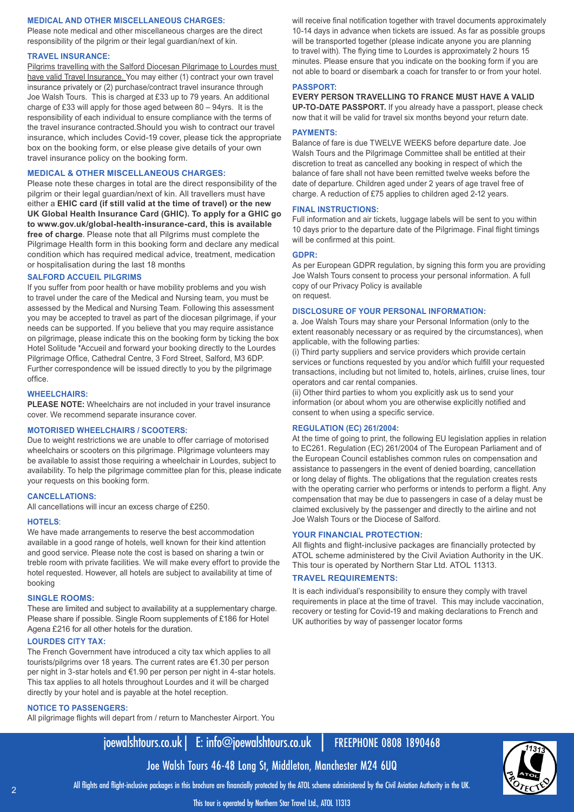#### **MEDICAL AND OTHER MISCELLANEOUS CHARGES:**

Please note medical and other miscellaneous charges are the direct responsibility of the pilgrim or their legal guardian/next of kin.

#### **TRAVEL INSURANCE:**

Pilgrims travelling with the Salford Diocesan Pilgrimage to Lourdes must have valid Travel Insurance. You may either (1) contract your own travel insurance privately or (2) purchase/contract travel insurance through Joe Walsh Tours. This is charged at £33 up to 79 years. An additional charge of £33 will apply for those aged between 80 – 94yrs. It is the responsibility of each individual to ensure compliance with the terms of the travel insurance contracted.Should you wish to contract our travel insurance, which includes Covid-19 cover, please tick the appropriate box on the booking form, or else please give details of your own travel insurance policy on the booking form.

#### **MEDICAL & OTHER MISCELLANEOUS CHARGES:**

Please note these charges in total are the direct responsibility of the pilgrim or their legal guardian/next of kin. All travellers must have either a **EHIC card (if still valid at the time of travel) or the new UK Global Health Insurance Card (GHIC). To apply for a GHIC go to www.gov.uk/global-health-insurance-card, this is available free of charge**. Please note that all Pilgrims must complete the Pilgrimage Health form in this booking form and declare any medical condition which has required medical advice, treatment, medication or hospitalisation during the last 18 months

#### **SALFORD ACCUEIL PILGRIMS**

If you suffer from poor health or have mobility problems and you wish to travel under the care of the Medical and Nursing team, you must be assessed by the Medical and Nursing Team. Following this assessment you may be accepted to travel as part of the diocesan pilgrimage, if your needs can be supported. If you believe that you may require assistance on pilgrimage, please indicate this on the booking form by ticking the box Hotel Solitude \*Accueil and forward your booking directly to the Lourdes Pilgrimage Office, Cathedral Centre, 3 Ford Street, Salford, M3 6DP. Further correspondence will be issued directly to you by the pilgrimage office.

#### **WHEELCHAIRS:**

**PLEASE NOTE:** Wheelchairs are not included in your travel insurance cover. We recommend separate insurance cover.

#### **MOTORISED WHEELCHAIRS / SCOOTERS:**

Due to weight restrictions we are unable to offer carriage of motorised wheelchairs or scooters on this pilgrimage. Pilgrimage volunteers may be available to assist those requiring a wheelchair in Lourdes, subject to availability. To help the pilgrimage committee plan for this, please indicate your requests on this booking form.

#### **CANCELLATIONS:**

All cancellations will incur an excess charge of £250.

#### **HOTELS**:

We have made arrangements to reserve the best accommodation available in a good range of hotels, well known for their kind attention and good service. Please note the cost is based on sharing a twin or treble room with private facilities. We will make every effort to provide the hotel requested. However, all hotels are subject to availability at time of booking

#### **SINGLE ROOMS:**

These are limited and subject to availability at a supplementary charge. Please share if possible. Single Room supplements of £186 for Hotel Agena £216 for all other hotels for the duration.

#### **LOURDES CITY TAX:**

The French Government have introduced a city tax which applies to all tourists/pilgrims over 18 years. The current rates are €1.30 per person per night in 3-star hotels and €1.90 per person per night in 4-star hotels. This tax applies to all hotels throughout Lourdes and it will be charged directly by your hotel and is payable at the hotel reception.

#### **NOTICE TO PASSENGERS:**

All pilgrimage flights will depart from / return to Manchester Airport. You

will receive final notification together with travel documents approximately 10-14 days in advance when tickets are issued. As far as possible groups will be transported together (please indicate anyone you are planning to travel with). The flying time to Lourdes is approximately 2 hours 15 minutes. Please ensure that you indicate on the booking form if you are not able to board or disembark a coach for transfer to or from your hotel.

#### **PASSPORT:**

**EVERY PERSON TRAVELLING TO FRANCE MUST HAVE A VALID UP-TO-DATE PASSPORT.** If you already have a passport, please check now that it will be valid for travel six months beyond your return date.

#### **PAYMENTS:**

Balance of fare is due TWELVE WEEKS before departure date. Joe Walsh Tours and the Pilgrimage Committee shall be entitled at their discretion to treat as cancelled any booking in respect of which the balance of fare shall not have been remitted twelve weeks before the date of departure. Children aged under 2 years of age travel free of charge. A reduction of £75 applies to children aged 2-12 years.

#### **FINAL INSTRUCTIONS:**

Full information and air tickets, luggage labels will be sent to you within 10 days prior to the departure date of the Pilgrimage. Final flight timings will be confirmed at this point.

#### **GDPR:**

As per European GDPR regulation, by signing this form you are providing Joe Walsh Tours consent to process your personal information. A full copy of our Privacy Policy is available on request.

#### **DISCLOSURE OF YOUR PERSONAL INFORMATION:**

a. Joe Walsh Tours may share your Personal Information (only to the extent reasonably necessary or as required by the circumstances), when applicable, with the following parties:

(i) Third party suppliers and service providers which provide certain services or functions requested by you and/or which fulfill your requested transactions, including but not limited to, hotels, airlines, cruise lines, tour operators and car rental companies.

(ii) Other third parties to whom you explicitly ask us to send your information (or about whom you are otherwise explicitly notified and consent to when using a specific service.

#### **REGULATION (EC) 261/2004:**

At the time of going to print, the following EU legislation applies in relation to EC261. Regulation (EC) 261/2004 of The European Parliament and of the European Council establishes common rules on compensation and assistance to passengers in the event of denied boarding, cancellation or long delay of flights. The obligations that the regulation creates rests with the operating carrier who performs or intends to perform a flight. Any compensation that may be due to passengers in case of a delay must be claimed exclusively by the passenger and directly to the airline and not Joe Walsh Tours or the Diocese of Salford.

#### **YOUR FINANCIAL PROTECTION:**

All flights and flight-inclusive packages are financially protected by ATOL scheme administered by the Civil Aviation Authority in the UK. This tour is operated by Northern Star Ltd. ATOL 11313.

#### **TRAVEL REQUIREMENTS:**

It is each individual's responsibility to ensure they comply with travel requirements in place at the time of travel. This may include vaccination, recovery or testing for Covid-19 and making declarations to French and UK authorities by way of passenger locator forms

# joewalshtours.co.uk| E: info@joewalshtours.co.uk | FREEPHONE 0808 1890468

All flights and flight-inclusive packages in this brochure are financially protected by the ATOL scheme administered by the Civil Aviation Authority in the UK.

Joe Walsh Tours 46-48 Long St, Middleton, Manchester M24 6UQ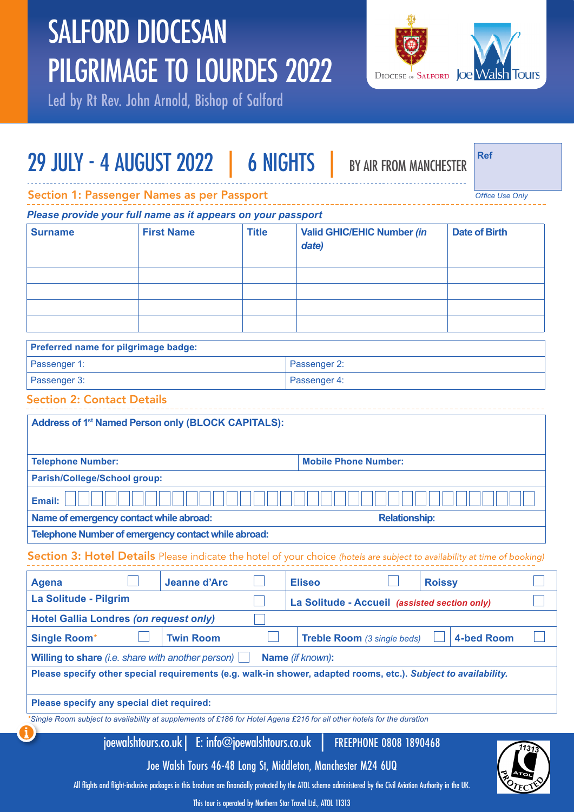# SALFORD DIOCESAN PILGRIMAGE TO LOURDES 2022

Led by Rt Rev. John Arnold, Bishop of Salford



# 29 JULY - 4 AUGUST 2022 | 6 NIGHTS | BY AIR FROM MANCHESTER

**Ref**

*Office Use Only*

Section 1: Passenger Names as per Passport

*Please provide your full name as it appears on your passport*

| <b>Surname</b> | <b>First Name</b> | <b>Title</b> | <b>Valid GHIC/EHIC Number (in</b><br>date) | <b>Date of Birth</b> |
|----------------|-------------------|--------------|--------------------------------------------|----------------------|
|                |                   |              |                                            |                      |
|                |                   |              |                                            |                      |
|                |                   |              |                                            |                      |
|                |                   |              |                                            |                      |

| Preferred name for pilgrimage badge: |              |  |
|--------------------------------------|--------------|--|
| Passenger 1:                         | Passenger 2: |  |
| Passenger 3:                         | Passenger 4: |  |

## Section 2: Contact Details

| Address of 1 <sup>st</sup> Named Person only (BLOCK CAPITALS):                                                              |                     |                  |                                    |                      |                                                                                                                           |  |
|-----------------------------------------------------------------------------------------------------------------------------|---------------------|------------------|------------------------------------|----------------------|---------------------------------------------------------------------------------------------------------------------------|--|
| <b>Telephone Number:</b>                                                                                                    |                     |                  | <b>Mobile Phone Number:</b>        |                      |                                                                                                                           |  |
| Parish/College/School group:                                                                                                |                     |                  |                                    |                      |                                                                                                                           |  |
| Email:                                                                                                                      |                     |                  |                                    |                      |                                                                                                                           |  |
| Name of emergency contact while abroad:                                                                                     |                     |                  |                                    | <b>Relationship:</b> |                                                                                                                           |  |
| Telephone Number of emergency contact while abroad:                                                                         |                     |                  |                                    |                      |                                                                                                                           |  |
|                                                                                                                             |                     |                  |                                    |                      | Section 3: Hotel Details Please indicate the hotel of your choice (hotels are subject to availability at time of booking) |  |
| <b>Agena</b>                                                                                                                | <b>Jeanne d'Arc</b> | <b>Eliseo</b>    |                                    |                      | <b>Roissy</b>                                                                                                             |  |
| La Solitude - Pilgrim                                                                                                       |                     |                  |                                    |                      | La Solitude - Accueil (assisted section only)                                                                             |  |
| <b>Hotel Gallia Londres (on request only)</b>                                                                               |                     |                  |                                    |                      |                                                                                                                           |  |
| <b>Single Room*</b>                                                                                                         | <b>Twin Room</b>    |                  | <b>Treble Room</b> (3 single beds) |                      | <b>4-bed Room</b>                                                                                                         |  |
| <b>Willing to share</b> (i.e. share with another person) $\Box$                                                             |                     | Name (if known): |                                    |                      |                                                                                                                           |  |
|                                                                                                                             |                     |                  |                                    |                      | Please specify other special requirements (e.g. walk-in shower, adapted rooms, etc.). Subject to availability.            |  |
| Please specify any special diet required:                                                                                   |                     |                  |                                    |                      |                                                                                                                           |  |
| *Objects Description of the constitution of the constant of O400 facilities Access O040 face illustrate to the constitution |                     |                  |                                    |                      |                                                                                                                           |  |

*\*Single Room subject to availability at supplements of £186 for Hotel Agena £216 for all other hotels for the duration*

joewalshtours.co.uk| E: info@joewalshtours.co.uk | FREEPHONE 0808 1890468



Joe Walsh Tours 46-48 Long St, Middleton, Manchester M24 6UQ

All flights and flight-inclusive packages in this brochure are financially protected by the ATOL scheme administered by the Civil Aviation Authority in the UK.

This tour is operated by Northern Star Travel Ltd., ATOL 11313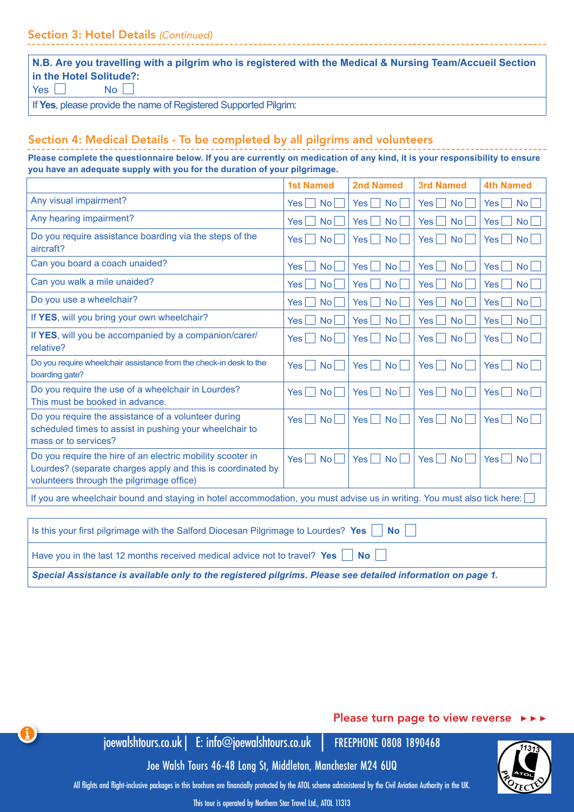| $\vert$ N.B. Are you travelling with a pilgrim who is registered with the Medical & Nursing Team/Accueil Section |
|------------------------------------------------------------------------------------------------------------------|
| in the Hotel Solitude?:                                                                                          |
| $\overline{\phantom{a}}$                                                                                         |

If **Yes**, please provide the name of Registered Supported Pilgrim:

# Section 4: Medical Details - To be completed by all pilgrims and volunteers

**Please complete the questionnaire below. If you are currently on medication of any kind, it is your responsibility to ensure you have an adequate supply with you for the duration of your pilgrimage.** 

|                                                                                                                                                                        | <b>1st Named</b>                      | <b>2nd Named</b>             | <b>3rd Named</b>              | <b>4th Named</b>              |
|------------------------------------------------------------------------------------------------------------------------------------------------------------------------|---------------------------------------|------------------------------|-------------------------------|-------------------------------|
| Any visual impairment?                                                                                                                                                 | No <sub>l</sub>                       | No <sub>l</sub>              | <b>No</b>                     | Yes                           |
|                                                                                                                                                                        | <b>Yes</b>                            | <b>Yes</b>                   | Yes                           | <b>No</b>                     |
| Any hearing impairment?                                                                                                                                                | No <sub>1</sub>                       | <b>Yes</b>                   | <b>No</b>                     | <b>No</b>                     |
|                                                                                                                                                                        | <b>Yes</b>                            | No <sub>l</sub>              | <b>Yes</b>                    | Yes                           |
| Do you require assistance boarding via the steps of the                                                                                                                | $\overline{N_{\mathcal{O}}}$          | <b>Yes</b>                   | <b>No</b>                     | $\overline{N_{\mathcal{O}}}$  |
| aircraft?                                                                                                                                                              | <b>Yes</b>                            | <b>No</b>                    | Yes                           | Yes <sub>1</sub>              |
| Can you board a coach unaided?                                                                                                                                         | $\overline{N_{\mathcal{O}}}$          | Yes                          | Yes                           | Yes <sub>l</sub>              |
|                                                                                                                                                                        | <b>Yes</b>                            | No                           | <b>No</b>                     | <b>No</b>                     |
| Can you walk a mile unaided?                                                                                                                                           | No <sub>1</sub>                       | <b>Yes</b>                   | <b>Yes</b>                    | <b>No</b>                     |
|                                                                                                                                                                        | <b>Yes</b>                            | No <sub>1</sub>              | <b>No</b>                     | Yes                           |
| Do you use a wheelchair?                                                                                                                                               | No                                    | Yes                          | <b>No</b>                     | <b>No</b>                     |
|                                                                                                                                                                        | Yes                                   | No <sub>l</sub>              | <b>Yes</b>                    | <b>Yes</b>                    |
| If YES, will you bring your own wheelchair?                                                                                                                            | No                                    | No <sub>1</sub>              | <b>No</b>                     | <b>No</b>                     |
|                                                                                                                                                                        | <b>Yes</b>                            | <b>Yes</b>                   | <b>Yes</b>                    | <b>Yes</b>                    |
| If YES, will you be accompanied by a companion/carer/                                                                                                                  | $\mathsf{No}$                         | $\mathsf{No}$                | <b>No</b>                     | $\mathsf{No}$                 |
| relative?                                                                                                                                                              | Yes                                   | Yes                          | Yes                           | Yes <sub>1</sub>              |
| Do you require wheelchair assistance from the check-in desk to the                                                                                                     | No                                    | $\mathsf{No}$                | <b>Yes</b>                    | <b>No</b>                     |
| boarding gate?                                                                                                                                                         | <b>Yes</b>                            | Yes                          | <b>No</b>                     | <b>Yes</b>                    |
| Do you require the use of a wheelchair in Lourdes?                                                                                                                     | $\overline{N_{\mathcal{O}}}$          | $\overline{N_{\mathcal{O}}}$ | Yes <sub>l</sub>              | Yes <sub>1</sub>              |
| This must be booked in advance.                                                                                                                                        | <b>Yes</b>                            | <b>Yes</b>                   | <b>No</b>                     | No                            |
| Do you require the assistance of a volunteer during<br>scheduled times to assist in pushing your wheelchair to<br>mass or to services?                                 | <b>Yes</b><br>$\mathsf{No}$<br>$\sim$ | Yes<br>$\mathsf{No}$         | Yes <sub>l</sub><br><b>No</b> | $Yes \mid \mid$<br>No         |
| Do you require the hire of an electric mobility scooter in<br>Lourdes? (separate charges apply and this is coordinated by<br>volunteers through the pilgrimage office) | Yes<br>$\overline{N_{\mathcal{O}}}$   | $\mathsf{No}$<br><b>Yes</b>  | Yes<br><b>No</b>              | Yes <sub>1</sub><br><b>No</b> |
| If you are wheelchair bound and staying in hotel accommodation, you must advise us in writing. You must also tick here:                                                |                                       |                              |                               |                               |
|                                                                                                                                                                        |                                       |                              |                               |                               |
| Is this your first pilgrimage with the Salford Diocesan Pilgrimage to Lourdes? Yes<br><b>No</b>                                                                        |                                       |                              |                               |                               |
| Have you in the last 12 months received medical advice not to travel? Yes<br><b>No</b>                                                                                 |                                       |                              |                               |                               |

*Special Assistance is available only to the registered pilgrims. Please see detailed information on page 1.*

### Please turn page to view reverse ▶▶▶

joewalshtours.co.uk| E: info@joewalshtours.co.uk | FREEPHONE 0808 1890468

4

Joe Walsh Tours 46-48 Long St, Middleton, Manchester M24 6UQ

All flights and flight-inclusive packages in this brochure are financially protected by the ATOL scheme administered by the Civil Aviation Authority in the UK.

This tour is operated by Northern Star Travel Ltd., ATOL 11313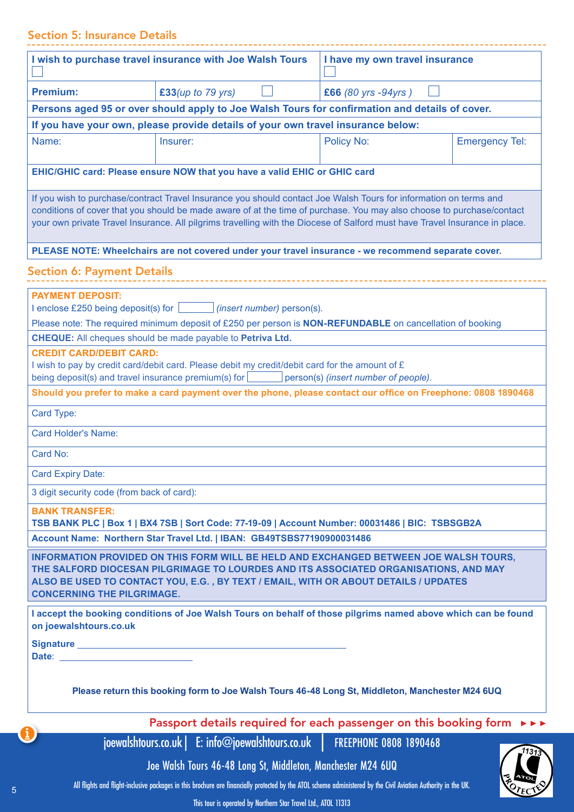# Section 5: Insurance Details

|                                                                                                                                                                                                                                                                                                                                                                           | I wish to purchase travel insurance with Joe Walsh Tours                                                                                                                                                                                                              | I have my own travel insurance |                       |  |
|---------------------------------------------------------------------------------------------------------------------------------------------------------------------------------------------------------------------------------------------------------------------------------------------------------------------------------------------------------------------------|-----------------------------------------------------------------------------------------------------------------------------------------------------------------------------------------------------------------------------------------------------------------------|--------------------------------|-----------------------|--|
| <b>Premium:</b><br>£33(up to $79$ yrs)<br>£66 (80 yrs -94yrs)                                                                                                                                                                                                                                                                                                             |                                                                                                                                                                                                                                                                       |                                |                       |  |
| Persons aged 95 or over should apply to Joe Walsh Tours for confirmation and details of cover.                                                                                                                                                                                                                                                                            |                                                                                                                                                                                                                                                                       |                                |                       |  |
|                                                                                                                                                                                                                                                                                                                                                                           | If you have your own, please provide details of your own travel insurance below:                                                                                                                                                                                      |                                |                       |  |
| Name:                                                                                                                                                                                                                                                                                                                                                                     | Insurer:                                                                                                                                                                                                                                                              | Policy No:                     | <b>Emergency Tel:</b> |  |
|                                                                                                                                                                                                                                                                                                                                                                           | EHIC/GHIC card: Please ensure NOW that you have a valid EHIC or GHIC card                                                                                                                                                                                             |                                |                       |  |
| If you wish to purchase/contract Travel Insurance you should contact Joe Walsh Tours for information on terms and<br>conditions of cover that you should be made aware of at the time of purchase. You may also choose to purchase/contact<br>your own private Travel Insurance. All pilgrims travelling with the Diocese of Salford must have Travel Insurance in place. |                                                                                                                                                                                                                                                                       |                                |                       |  |
|                                                                                                                                                                                                                                                                                                                                                                           | PLEASE NOTE: Wheelchairs are not covered under your travel insurance - we recommend separate cover.                                                                                                                                                                   |                                |                       |  |
| <b>Section 6: Payment Details</b>                                                                                                                                                                                                                                                                                                                                         |                                                                                                                                                                                                                                                                       |                                |                       |  |
| <b>PAYMENT DEPOSIT:</b>                                                                                                                                                                                                                                                                                                                                                   | I enclose £250 being deposit(s) for $\boxed{\qquad}$ (insert number) person(s).                                                                                                                                                                                       |                                |                       |  |
|                                                                                                                                                                                                                                                                                                                                                                           | Please note: The required minimum deposit of £250 per person is <b>NON-REFUNDABLE</b> on cancellation of booking                                                                                                                                                      |                                |                       |  |
| <b>CREDIT CARD/DEBIT CARD:</b>                                                                                                                                                                                                                                                                                                                                            | CHEQUE: All cheques should be made payable to Petriva Ltd.<br>I wish to pay by credit card/debit card. Please debit my credit/debit card for the amount of $E$                                                                                                        |                                |                       |  |
|                                                                                                                                                                                                                                                                                                                                                                           | being deposit(s) and travel insurance premium(s) for person(s) (insert number of people).<br>Should you prefer to make a card payment over the phone, please contact our office on Freephone: 0808 1890468                                                            |                                |                       |  |
| Card Type:                                                                                                                                                                                                                                                                                                                                                                |                                                                                                                                                                                                                                                                       |                                |                       |  |
| <b>Card Holder's Name:</b>                                                                                                                                                                                                                                                                                                                                                |                                                                                                                                                                                                                                                                       |                                |                       |  |
| Card No:                                                                                                                                                                                                                                                                                                                                                                  |                                                                                                                                                                                                                                                                       |                                |                       |  |
| <b>Card Expiry Date:</b>                                                                                                                                                                                                                                                                                                                                                  |                                                                                                                                                                                                                                                                       |                                |                       |  |
| 3 digit security code (from back of card):                                                                                                                                                                                                                                                                                                                                |                                                                                                                                                                                                                                                                       |                                |                       |  |
| <b>BANK TRANSFER:</b>                                                                                                                                                                                                                                                                                                                                                     |                                                                                                                                                                                                                                                                       |                                |                       |  |
| TSB BANK PLC   Box 1   BX4 7SB   Sort Code: 77-19-09   Account Number: 00031486   BIC: TSBSGB2A<br>Account Name: Northern Star Travel Ltd.   IBAN: GB49TSBS77190900031486                                                                                                                                                                                                 |                                                                                                                                                                                                                                                                       |                                |                       |  |
|                                                                                                                                                                                                                                                                                                                                                                           |                                                                                                                                                                                                                                                                       |                                |                       |  |
| <b>CONCERNING THE PILGRIMAGE.</b>                                                                                                                                                                                                                                                                                                                                         | INFORMATION PROVIDED ON THIS FORM WILL BE HELD AND EXCHANGED BETWEEN JOE WALSH TOURS,<br>THE SALFORD DIOCESAN PILGRIMAGE TO LOURDES AND ITS ASSOCIATED ORGANISATIONS, AND MAY<br>ALSO BE USED TO CONTACT YOU, E.G. , BY TEXT / EMAIL, WITH OR ABOUT DETAILS / UPDATES |                                |                       |  |
| on joewalshtours.co.uk                                                                                                                                                                                                                                                                                                                                                    | I accept the booking conditions of Joe Walsh Tours on behalf of those pilgrims named above which can be found                                                                                                                                                         |                                |                       |  |
| Date: <u>with the contract of the contract of the contract of the contract of the contract of the contract of the contract of the contract of the contract of the contract of the contract of the contract of the contract of th</u>                                                                                                                                      |                                                                                                                                                                                                                                                                       |                                |                       |  |
| Please return this booking form to Joe Walsh Tours 46-48 Long St, Middleton, Manchester M24 6UQ                                                                                                                                                                                                                                                                           |                                                                                                                                                                                                                                                                       |                                |                       |  |
| Passport details required for each passenger on this booking form ▶▶▶                                                                                                                                                                                                                                                                                                     |                                                                                                                                                                                                                                                                       |                                |                       |  |
|                                                                                                                                                                                                                                                                                                                                                                           | joewalshtours.co.uk   E: info@joewalshtours.co.uk   FREEPHONE 0808 1890468                                                                                                                                                                                            |                                | 11313                 |  |
|                                                                                                                                                                                                                                                                                                                                                                           | Joe Walsh Tours 46-48 Long St, Middleton, Manchester M24 6UQ                                                                                                                                                                                                          |                                |                       |  |
|                                                                                                                                                                                                                                                                                                                                                                           | All flights and flight-inclusive packages in this brochure are financially protected by the ATOL scheme administered by the Civil Aviation Authority in the UK.                                                                                                       |                                |                       |  |